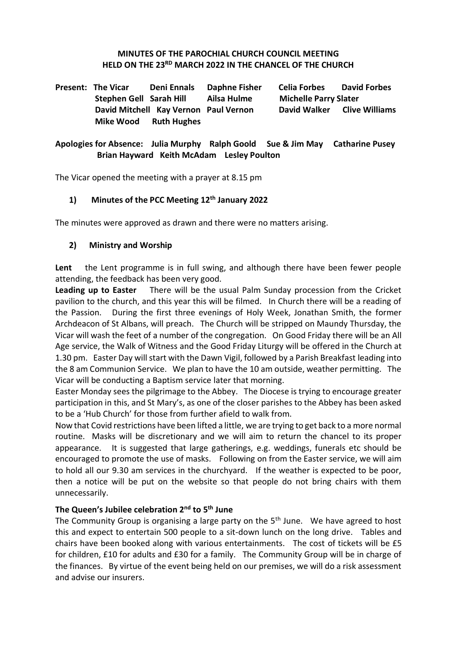#### **MINUTES OF THE PAROCHIAL CHURCH COUNCIL MEETING HELD ON THE 23RD MARCH 2022 IN THE CHANCEL OF THE CHURCH**

**Present: The Vicar Deni Ennals Daphne Fisher Celia Forbes David Forbes Stephen Gell Sarah Hill Ailsa Hulme Michelle Parry Slater David Mitchell Kay Vernon Paul Vernon David Walker Clive Williams Mike Wood Ruth Hughes**

#### **Apologies for Absence: Julia Murphy Ralph Goold Sue & Jim May Catharine Pusey Brian Hayward Keith McAdam Lesley Poulton**

The Vicar opened the meeting with a prayer at 8.15 pm

#### **1) Minutes of the PCC Meeting 12th January 2022**

The minutes were approved as drawn and there were no matters arising.

#### **2) Ministry and Worship**

**Lent** the Lent programme is in full swing, and although there have been fewer people attending, the feedback has been very good.

**Leading up to Easter** There will be the usual Palm Sunday procession from the Cricket pavilion to the church, and this year this will be filmed. In Church there will be a reading of the Passion. During the first three evenings of Holy Week, Jonathan Smith, the former Archdeacon of St Albans, will preach. The Church will be stripped on Maundy Thursday, the Vicar will wash the feet of a number of the congregation. On Good Friday there will be an All Age service, the Walk of Witness and the Good Friday Liturgy will be offered in the Church at 1.30 pm. Easter Day will start with the Dawn Vigil, followed by a Parish Breakfast leading into the 8 am Communion Service. We plan to have the 10 am outside, weather permitting. The Vicar will be conducting a Baptism service later that morning.

Easter Monday sees the pilgrimage to the Abbey. The Diocese is trying to encourage greater participation in this, and St Mary's, as one of the closer parishes to the Abbey has been asked to be a 'Hub Church' for those from further afield to walk from.

Now that Covid restrictions have been lifted a little, we are trying to get back to a more normal routine. Masks will be discretionary and we will aim to return the chancel to its proper appearance. It is suggested that large gatherings, e.g. weddings, funerals etc should be encouraged to promote the use of masks. Following on from the Easter service, we will aim to hold all our 9.30 am services in the churchyard. If the weather is expected to be poor, then a notice will be put on the website so that people do not bring chairs with them unnecessarily.

#### **The Queen's Jubilee celebration 2nd to 5th June**

The Community Group is organising a large party on the  $5<sup>th</sup>$  June. We have agreed to host this and expect to entertain 500 people to a sit-down lunch on the long drive. Tables and chairs have been booked along with various entertainments. The cost of tickets will be £5 for children, £10 for adults and £30 for a family. The Community Group will be in charge of the finances. By virtue of the event being held on our premises, we will do a risk assessment and advise our insurers.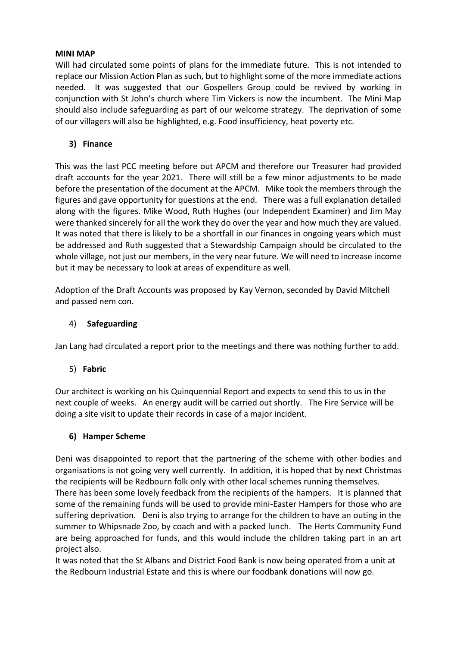#### **MINI MAP**

Will had circulated some points of plans for the immediate future. This is not intended to replace our Mission Action Plan as such, but to highlight some of the more immediate actions needed. It was suggested that our Gospellers Group could be revived by working in conjunction with St John's church where Tim Vickers is now the incumbent. The Mini Map should also include safeguarding as part of our welcome strategy. The deprivation of some of our villagers will also be highlighted, e.g. Food insufficiency, heat poverty etc.

### **3) Finance**

This was the last PCC meeting before out APCM and therefore our Treasurer had provided draft accounts for the year 2021. There will still be a few minor adjustments to be made before the presentation of the document at the APCM. Mike took the members through the figures and gave opportunity for questions at the end. There was a full explanation detailed along with the figures. Mike Wood, Ruth Hughes (our Independent Examiner) and Jim May were thanked sincerely for all the work they do over the year and how much they are valued. It was noted that there is likely to be a shortfall in our finances in ongoing years which must be addressed and Ruth suggested that a Stewardship Campaign should be circulated to the whole village, not just our members, in the very near future. We will need to increase income but it may be necessary to look at areas of expenditure as well.

Adoption of the Draft Accounts was proposed by Kay Vernon, seconded by David Mitchell and passed nem con.

### 4) **Safeguarding**

Jan Lang had circulated a report prior to the meetings and there was nothing further to add.

### 5) **Fabric**

Our architect is working on his Quinquennial Report and expects to send this to us in the next couple of weeks. An energy audit will be carried out shortly. The Fire Service will be doing a site visit to update their records in case of a major incident.

### **6) Hamper Scheme**

Deni was disappointed to report that the partnering of the scheme with other bodies and organisations is not going very well currently. In addition, it is hoped that by next Christmas the recipients will be Redbourn folk only with other local schemes running themselves.

There has been some lovely feedback from the recipients of the hampers. It is planned that some of the remaining funds will be used to provide mini-Easter Hampers for those who are suffering deprivation. Deni is also trying to arrange for the children to have an outing in the summer to Whipsnade Zoo, by coach and with a packed lunch. The Herts Community Fund are being approached for funds, and this would include the children taking part in an art project also.

It was noted that the St Albans and District Food Bank is now being operated from a unit at the Redbourn Industrial Estate and this is where our foodbank donations will now go.